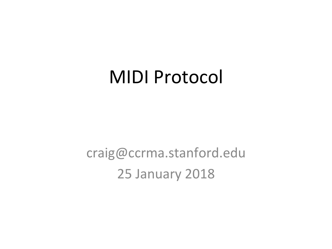#### **MIDI Protocol**

craig@ccrma.stanford.edu **25 January 2018**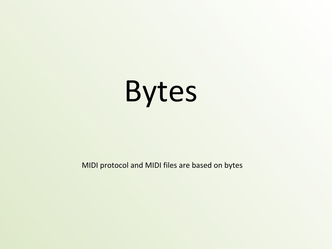

MIDI protocol and MIDI files are based on bytes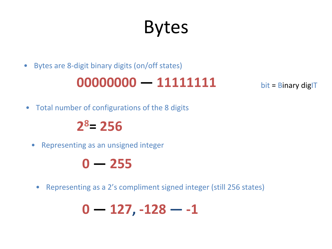#### Bytes

• Bytes are 8-digit binary digits (on/off states)

#### 00000000 - 11111111

 $bit = Binary$  diglT

• Total number of configurations of the 8 digits

#### **28= 256**

• Representing as an unsigned integer

#### $0 - 255$

• Representing as a 2's compliment signed integer (still 256 states)

$$
0-127,-128--1
$$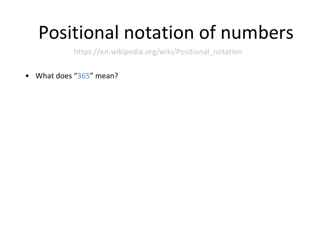# Positional notation of numbers

https://en.wikipedia.org/wiki/Positional\_notation

• What does "365" mean?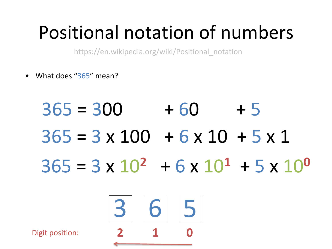# Positional notation of numbers

https://en.wikipedia.org/wiki/Positional\_notation

• What does "365" mean?

 $365 = 300 + 60 + 5$  $365 = 3 \times 100 + 6 \times 10 + 5 \times 1$  $365 = 3 \times 10^2$  + 6  $\times 10^1$  + 5  $\times 10^0$ 3 6 5 **Digit position:**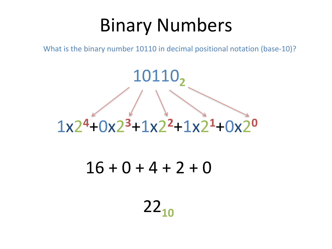#### Binary Numbers

What is the binary number 10110 in decimal positional notation (base-10)?

# 10110**<sup>2</sup>** 1x2**<sup>4</sup>**+0x2**<sup>3</sup>**+1x2**<sup>2</sup>**+1x2**<sup>1</sup>**+0x2**<sup>0</sup>**

#### $16 + 0 + 4 + 2 + 0$

#### $22_{10}$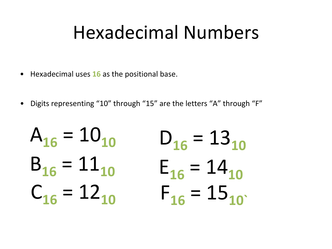#### Hexadecimal Numbers

- Hexadecimal uses **16** as the positional base.
- Digits representing "10" through "15" are the letters "A" through "F"

$$
A_{16} = 10_{10} \t D_{16} = 13_{10}
$$
  
\n
$$
B_{16} = 11_{10} \t E_{16} = 14_{10}
$$
  
\n
$$
C_{16} = 12_{10} \t F_{16} = 15_{10}
$$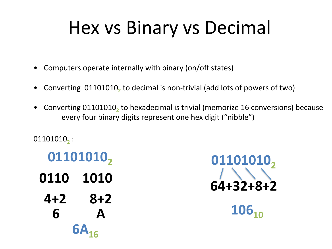### Hex vs Binary vs Decimal

- Computers operate internally with binary (on/off states)
- Converting 01101010, to decimal is non-trivial (add lots of powers of two)
- Converting 01101010, to hexadecimal is trivial (memorize 16 conversions) because every four binary digits represent one hex digit ("nibble")

01101010<sub>2</sub>:

**01101010**<sub>2</sub> **0110 1010 4+2 8+2 6** A 6A<sub>16</sub>

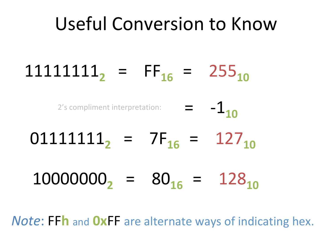#### Useful Conversion to Know

# $1111111_2 = FF_{16} = 255_{10}$

2's compliment interpretation:  $\qquad \qquad = \qquad -1$ 

# $01111111$ <sub>2</sub> =  $7F_{16}$  =  $127_{10}$

 $100000000$ <sub>2</sub> =  $80_{16}$  =  $128_{10}$ 

*Note***:** FFh and OxFF are alternate ways of indicating hex.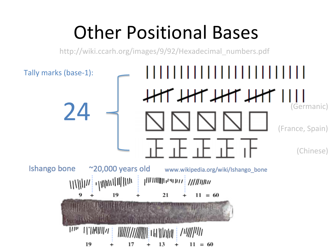### **Other Positional Bases**

http://wiki.ccarh.org/images/9/92/Hexadecimal\_numbers.pdf

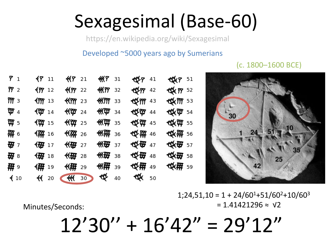# Sexagesimal (Base-60)

https://en.wikipedia.org/wiki/Sexagesimal

#### Developed ~5000 years ago by Sumerians

 $7<sub>1</sub>$  $4811$ **KY** 21 **KKY** 31  $45741$ **KKY** 51  $\frac{8}{2}$  $487722$ **HEY?** 32 HOLPY 42 **KKY 52**  $47712$ **KKMY 33 KLYMY 43 KLKMY 53** MТ з  $4777$  13 **KYYY** 23  $\mathfrak{P}$  4 **《《《《《传》 44 《《《《《传》 54**  $\sqrt[4]{30}$  14  $\bigotimes$  24 30  $\mathfrak{P}$  5 **《《《《《《》》 《《《》) 《《《》) 35**  $\bigotimes$  25  $\binom{15}{4}$ ₩ 6 **《《《《《《》》 36 《《《《》 36 《《《》 46 《《》 46 《《》 46 《《》 56 KK 777** 26 ⊀β୨୨- 16 **《卷》 37 《 卷 母 47 《 後 母 57** ₩ੋਂ 7 ≪ 16987 27 ⊀£ତେ 17  $\bigoplus$  8 ≪16887 28 ∜好了18 25 第9 **≪解** 29 《辩 19 **KEX** 50 ∜  $\big\langle 10$  $4420$ **KK** 30 40

> $1;24,51,10 = 1 + 24/60^{1} + 51/60^{2} + 10/60^{3}$  $= 1.41421296 \approx \sqrt{2}$

 $(c. 1800 - 1600$  BCE)

Minutes/Seconds: 

 $12'30'' + 16'42'' = 29'12''$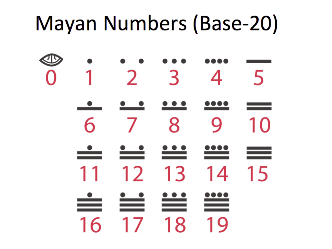# Mayan Numbers (Base-20)

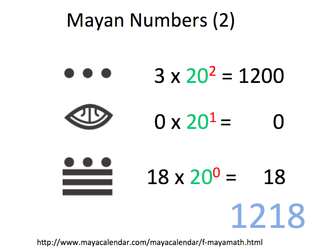#### Mayan Numbers (2)



http://www.mayacalendar.com/mayacalendar/f-mayamath.html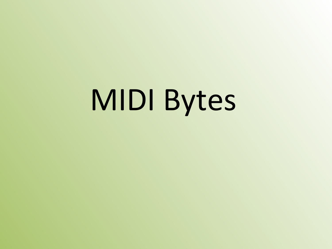# MIDI Bytes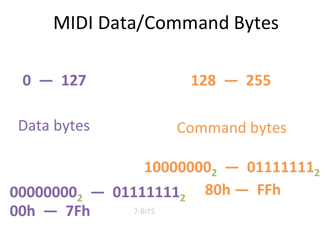#### MIDI Data/Command Bytes

 $0 - 127$  128 - 255

#### Data bytes **Command bytes**

#### $000000000, -01111111, 80h - FFh$  $10000000, -0111111,$ **00h** — 7Fh 7-BITS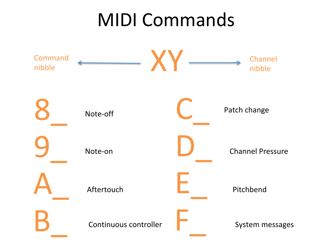#### **MIDI Commands**

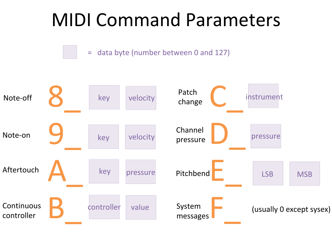

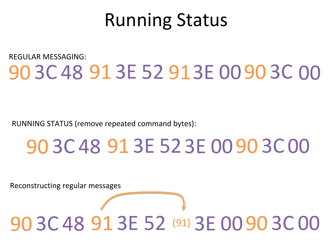#### Running Status

#### 90 3C 48 91 3E 52 91 3E 00 90 3C 00 REGULAR MESSAGING:

RUNNING STATUS (remove repeated command bytes):

# 90 3C 48 91 3E 52 3E 00 90 3C 00

Reconstructing regular messages

#### 90 3C 48 91 3E 52 (91) 3E 00 90 3C 00 (91)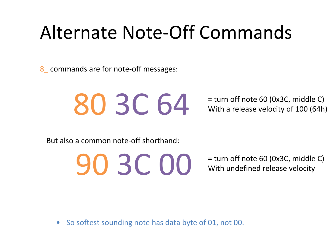#### Alternate Note-Off Commands

8\_ commands are for note-off messages:



With a release velocity of 100 (64h)

But also a common note-off shorthand:

**90 30 COO** = turn off note 60 (0x3C, middle C) With undefined release velocity

• So softest sounding note has data byte of 01, not 00.